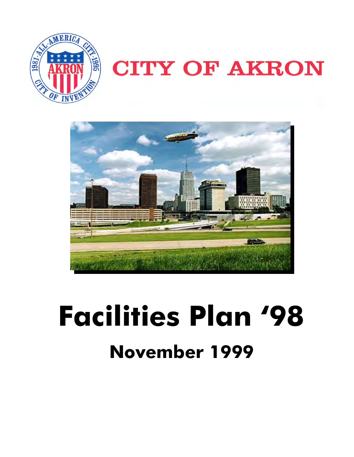

# **CITY OF AKRON**



# **Facilities Plan '98 November 1999**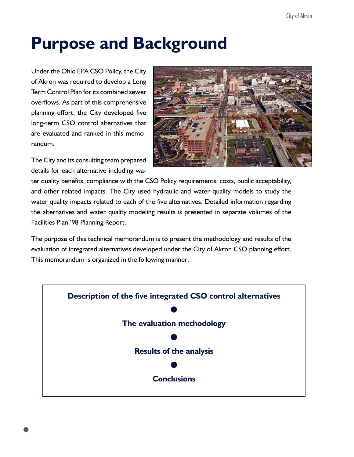## **Purpose and Background**

Under the Ohio EPA CSO Policy, the City of Akron was required to develop a Long Term Control Plan for its combined sewer overflows. As part of this comprehensive planning effort, the City developed five long-term CSO control alternatives that are evaluated and ranked in this memorandum.

The City and its consulting team prepared details for each alternative including wa-



ter quality benefits, compliance with the CSO Policy requirements, costs, public acceptability, and other related impacts. The City used hydraulic and water quality models to study the water quality impacts related to each of the five alternatives. Detailed information regarding the alternatives and water quality modeling results is presented in separate volumes of the Facilities Plan '98 Planning Report.

The purpose of this technical memorandum is to present the methodology and results of the evaluation of integrated alternatives developed under the City of Akron CSO planning effort. This memorandum is organized in the following manner:

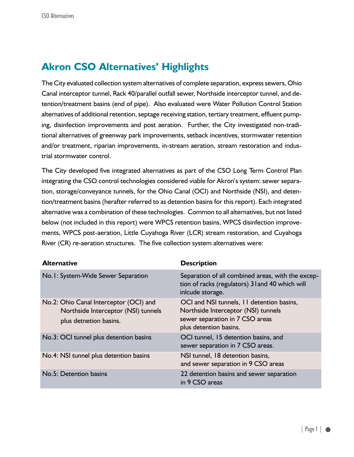### **Akron CSO Alternatives' Highlights**

The City evaluated collection system alternatives of complete separation, express sewers, Ohio Canal interceptor tunnel, Rack 40/parallel outfall sewer, Northside interceptor tunnel, and detention/treatment basins (end of pipe). Also evaluated were Water Pollution Control Station alternatives of additional retention, septage receiving station, tertiary treatment, effluent pumping, disinfection improvements and post aeration. Further, the City investigated non-traditional alternatives of greenway park improvements, setback incentives, stormwater retention and/or treatment, riparian improvements, in-stream aeration, stream restoration and industrial stormwater control.

The City developed five integrated alternatives as part of the CSO Long Term Control Plan integrating the CSO control technologies considered viable for Akron's system: sewer separation, storage/conveyance tunnels, for the Ohio Canal (OCI) and Northside (NSI), and detention/treatment basins (herafter referred to as detention basins for this report). Each integrated alternative was a combination of these technologies. Common to all alternatives, but not listed below (not included in this report) were WPCS retention basins, WPCS disinfection improvements, WPCS post-aeration, Little Cuyahoga River (LCR) stream restoration, and Cuyahoga River (CR) re-aeration structures. The five collection system alternatives were:

| <b>Alternative</b>                                                                                      | <b>Description</b>                                                                                                                            |
|---------------------------------------------------------------------------------------------------------|-----------------------------------------------------------------------------------------------------------------------------------------------|
| No.1: System-Wide Sewer Separation                                                                      | Separation of all combined areas, with the excep-<br>tion of racks (regulators) 31 and 40 which will<br>inlcude storage.                      |
| No.2: Ohio Canal Interceptor (OCI) and<br>Northside Interceptor (NSI) tunnels<br>plus detnetion basins. | OCI and NSI tunnels, 11 detention basins,<br>Northside Interceptor (NSI) tunnels<br>sewer separation in 7 CSO areas<br>plus detention basins. |
| No.3: OCI tunnel plus detention basins                                                                  | OCI tunnel, 15 detention basins, and<br>sewer separation in 7 CSO areas.                                                                      |
| No.4: NSI tunnel plus detention basins                                                                  | NSI tunnel, 18 detention basins,<br>and sewer separation in 9 CSO areas                                                                       |
| No.5: Detention basins                                                                                  | 22 detention basins and sewer separation<br>in 9 CSO areas                                                                                    |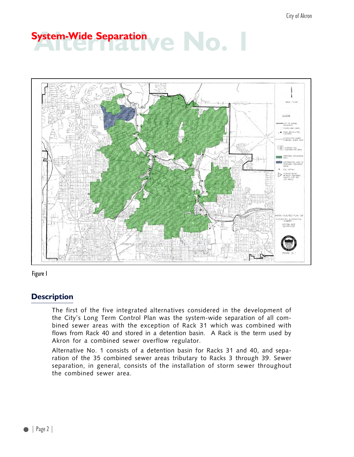# **Alternative Separation**



Figure 1

#### **Description**

The first of the five integrated alternatives considered in the development of the City's Long Term Control Plan was the system-wide separation of all combined sewer areas with the exception of Rack 31 which was combined with flows from Rack 40 and stored in a detention basin. A Rack is the term used by Akron for a combined sewer overflow regulator.

Alternative No. 1 consists of a detention basin for Racks 31 and 40, and separation of the 35 combined sewer areas tributary to Racks 3 through 39. Sewer separation, in general, consists of the installation of storm sewer throughout the combined sewer area.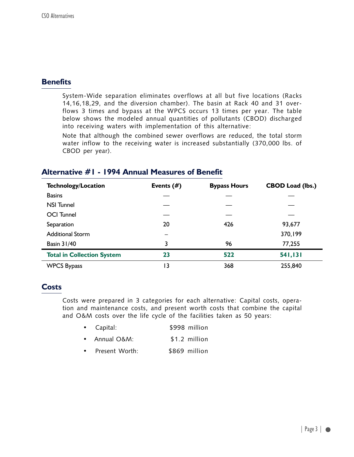System-Wide separation eliminates overflows at all but five locations (Racks 14,16,18,29, and the diversion chamber). The basin at Rack 40 and 31 overflows 3 times and bypass at the WPCS occurs 13 times per year. The table below shows the modeled annual quantities of pollutants (CBOD) discharged into receiving waters with implementation of this alternative:

Note that although the combined sewer overflows are reduced, the total storm water inflow to the receiving water is increased substantially (370,000 lbs. of CBOD per year).

| <b>Technology/Location</b>        | Events $(\#)$ | <b>Bypass Hours</b> | <b>CBOD Load (lbs.)</b> |
|-----------------------------------|---------------|---------------------|-------------------------|
| <b>Basins</b>                     |               |                     |                         |
| <b>NSI Tunnel</b>                 |               |                     |                         |
| <b>OCI</b> Tunnel                 |               |                     |                         |
| Separation                        | 20            | 426                 | 93,677                  |
| <b>Additional Storm</b>           |               |                     | 370,199                 |
| <b>Basin 31/40</b>                | 3             | 96                  | 77,255                  |
| <b>Total in Collection System</b> | 23            | 522                 | 541,131                 |
| <b>WPCS Bypass</b>                | ۱3            | 368                 | 255,840                 |

### **Alternative #1 - 1994 Annual Measures of Benefit**

#### **Costs**

Costs were prepared in 3 categories for each alternative: Capital costs, operation and maintenance costs, and present worth costs that combine the capital and O&M costs over the life cycle of the facilities taken as 50 years:

- Capital: \$998 million
- Annual O&M: \$1.2 million
- Present Worth: \$869 million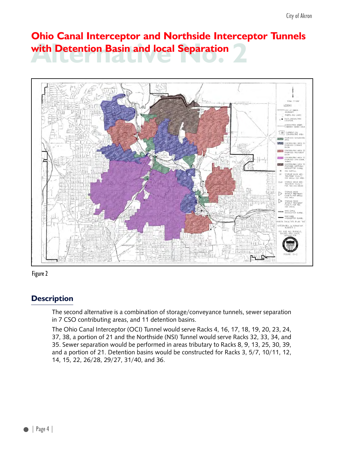## **Alternation Basin and local Separation Ohio Canal Interceptor and Northside Interceptor Tunnels**





### **Description**

The second alternative is a combination of storage/conveyance tunnels, sewer separation in 7 CSO contributing areas, and 11 detention basins.

The Ohio Canal Interceptor (OCI) Tunnel would serve Racks 4, 16, 17, 18, 19, 20, 23, 24, 37, 38, a portion of 21 and the Northside (NSI) Tunnel would serve Racks 32, 33, 34, and 35. Sewer separation would be performed in areas tributary to Racks 8, 9, 13, 25, 30, 39, and a portion of 21. Detention basins would be constructed for Racks 3, 5/7, 10/11, 12, 14, 15, 22, 26/28, 29/27, 31/40, and 36.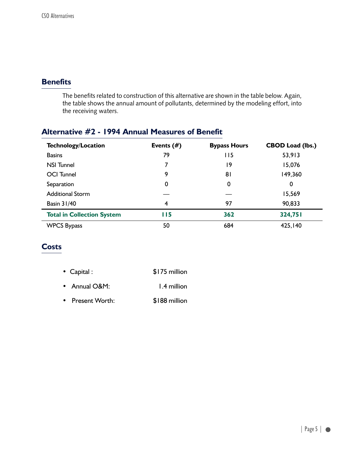The benefits related to construction of this alternative are shown in the table below. Again, the table shows the annual amount of pollutants, determined by the modeling effort, into the receiving waters.

### **Alternative #2 - 1994 Annual Measures of Benefit**

| <b>Technology/Location</b>        | Events $(\#)$ | <b>Bypass Hours</b> | <b>CBOD Load (lbs.)</b> |
|-----------------------------------|---------------|---------------------|-------------------------|
| <b>Basins</b>                     | 79            | 115                 | 53,913                  |
| <b>NSI Tunnel</b>                 | 7             | 19                  | 15,076                  |
| <b>OCI</b> Tunnel                 | 9             | 81                  | 149,360                 |
| Separation                        | 0             | 0                   | 0                       |
| <b>Additional Storm</b>           |               |                     | 15,569                  |
| <b>Basin 31/40</b>                | 4             | 97                  | 90,833                  |
| <b>Total in Collection System</b> | <b>II5</b>    | 362                 | 324,751                 |
| <b>WPCS Bypass</b>                | 50            | 684                 | 425,140                 |

### **Costs**

| • Capital :   | \$175 million |
|---------------|---------------|
| • Annual O&M: | 1.4 million   |

• Present Worth: \$188 million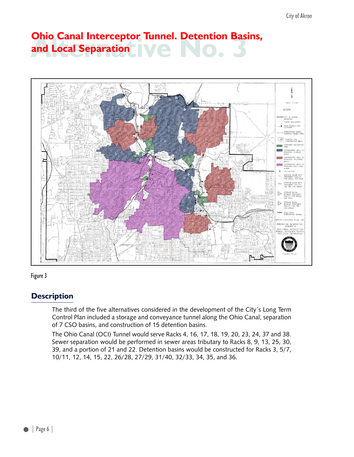## **Alternative No. 3 Ohio Canal Interceptor Tunnel. Detention Basins, and Local Separation**





### **Description**

The third of the five alternatives considered in the development of the City's Long Term Control Plan included a storage and conveyance tunnel along the Ohio Canal, separation of 7 CSO basins, and construction of 15 detention basins.

The Ohio Canal (OCI) Tunnel would serve Racks 4, 16, 17, 18, 19, 20, 23, 24, 37 and 38. Sewer separation would be performed in sewer areas tributary to Racks 8, 9, 13, 25, 30, 39, and a portion of 21 and 22. Detention basins would be constructed for Racks 3, 5/7, 10/11, 12, 14, 15, 22, 26/28, 27/29, 31/40, 32/33, 34, 35, and 36.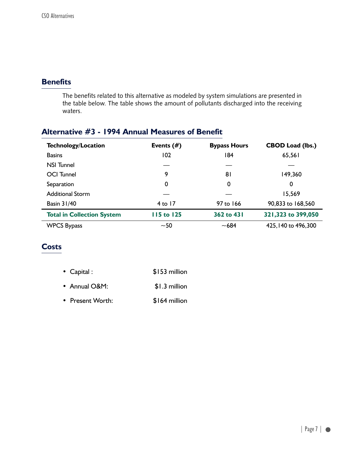The benefits related to this alternative as modeled by system simulations are presented in the table below. The table shows the amount of pollutants discharged into the receiving waters.

### **Alternative #3 - 1994 Annual Measures of Benefit**

| <b>Technology/Location</b>        | Events $(\#)$     | <b>Bypass Hours</b> | <b>CBOD Load (lbs.)</b> |
|-----------------------------------|-------------------|---------------------|-------------------------|
| <b>Basins</b>                     | 102               | 184                 | 65,561                  |
| <b>NSI</b> Tunnel                 |                   |                     |                         |
| <b>OCI</b> Tunnel                 | 9                 | 81                  | 149,360                 |
| Separation                        | 0                 | 0                   | 0                       |
| <b>Additional Storm</b>           |                   |                     | 15,569                  |
| <b>Basin 31/40</b>                | 4 to $17$         | 97 to 166           | 90,833 to 168,560       |
| <b>Total in Collection System</b> | <b>115 to 125</b> | 362 to 431          | 321,323 to 399,050      |
| <b>WPCS Bypass</b>                | $-50$             | $~1$ –684           | 425, 140 to 496, 300    |

### **Costs**

| $\bullet$ Capital : | \$153 million |
|---------------------|---------------|
| • Annual O&M:       | \$1.3 million |
| • Present Worth:    | \$164 million |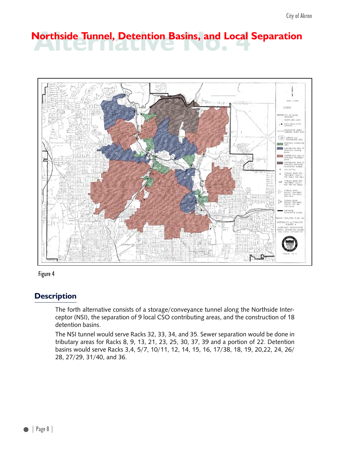# **Alternative Tunnel, Detention Basins, and Local Separation**





### **Description**

The forth alternative consists of a storage/conveyance tunnel along the Northside Interceptor (NSI), the separation of 9 local CSO contributing areas, and the construction of 18 detention basins.

The NSI tunnel would serve Racks 32, 33, 34, and 35. Sewer separation would be done in tributary areas for Racks 8, 9, 13, 21, 23, 25, 30, 37, 39 and a portion of 22. Detention basins would serve Racks 3,4, 5/7, 10/11, 12, 14, 15, 16, 17/38, 18, 19, 20,22, 24, 26/ 28, 27/29, 31/40, and 36.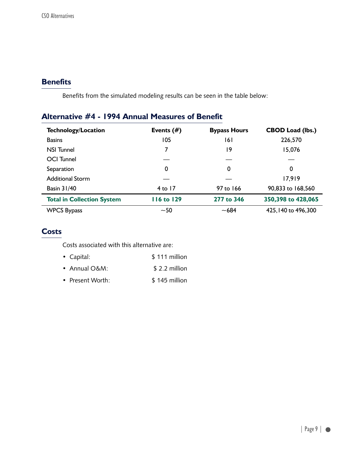Benefits from the simulated modeling results can be seen in the table below:

### **Alternative #4 - 1994 Annual Measures of Benefit**

| <b>Technology/Location</b>        | Events $(\#)$     | <b>Bypass Hours</b> | <b>CBOD Load (lbs.)</b> |
|-----------------------------------|-------------------|---------------------|-------------------------|
| <b>Basins</b>                     | 105               | 161                 | 226,570                 |
| <b>NSI Tunnel</b>                 |                   | 19                  | 15,076                  |
| <b>OCI</b> Tunnel                 |                   |                     |                         |
| Separation                        | 0                 | 0                   | 0                       |
| <b>Additional Storm</b>           |                   |                     | 17,919                  |
| <b>Basin 31/40</b>                | $4$ to 17         | 97 to 166           | 90,833 to 168,560       |
| <b>Total in Collection System</b> | <b>116 to 129</b> | 277 to 346          | 350,398 to 428,065      |
| <b>WPCS Bypass</b>                | $-50$             | $-684$              | 425, 140 to 496, 300    |

### **Costs**

Costs associated with this alternative are:

| $\bullet$ Capital: | \$111 million  |
|--------------------|----------------|
| • Annual $O\&M$ :  | $$2.2$ million |
| • Present Worth:   | $$145$ million |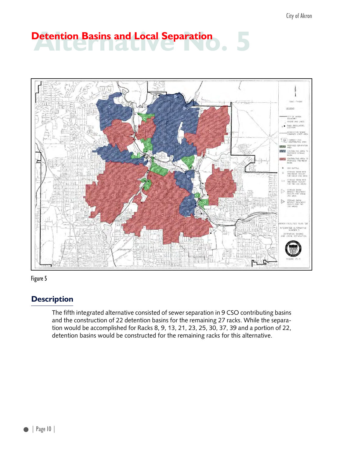# **Detention Basins and Local Separation**





### **Description**

The fifth integrated alternative consisted of sewer separation in 9 CSO contributing basins and the construction of 22 detention basins for the remaining 27 racks. While the separation would be accomplished for Racks 8, 9, 13, 21, 23, 25, 30, 37, 39 and a portion of 22, detention basins would be constructed for the remaining racks for this alternative.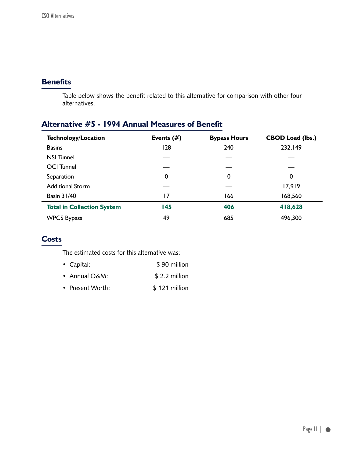Table below shows the benefit related to this alternative for comparison with other four alternatives.

### **Alternative #5 - 1994 Annual Measures of Benefit**

| <b>Technology/Location</b>        | Events $(\#)$ | <b>Bypass Hours</b> | <b>CBOD Load (lbs.)</b> |
|-----------------------------------|---------------|---------------------|-------------------------|
| <b>Basins</b>                     | 128           | 240                 | 232,149                 |
| <b>NSI Tunnel</b>                 |               |                     |                         |
| <b>OCI</b> Tunnel                 |               |                     |                         |
| Separation                        | 0             | 0                   | 0                       |
| <b>Additional Storm</b>           |               |                     | 17,919                  |
| <b>Basin 31/40</b>                | 17            | 166                 | 168,560                 |
| <b>Total in Collection System</b> | 145           | 406                 | 418,628                 |
| <b>WPCS Bypass</b>                | 49            | 685                 | 496,300                 |

### **Costs**

The estimated costs for this alternative was:

| • Capital:        | \$90 million   |
|-------------------|----------------|
| • Annual $O\&M$ : | $$2.2$ million |
| • Present Worth:  | $$121$ million |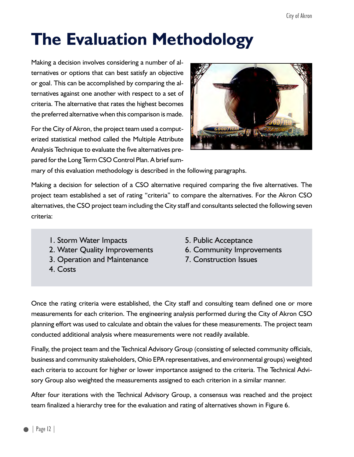## **The Evaluation Methodology**

Making a decision involves considering a number of alternatives or options that can best satisfy an objective or goal. This can be accomplished by comparing the alternatives against one another with respect to a set of criteria. The alternative that rates the highest becomes the preferred alternative when this comparison is made.

For the City of Akron, the project team used a computerized statistical method called the Multiple Attribute Analysis Technique to evaluate the five alternatives prepared for the Long Term CSO Control Plan. A brief sum-



mary of this evaluation methodology is described in the following paragraphs.

Making a decision for selection of a CSO alternative required comparing the five alternatives. The project team established a set of rating "criteria" to compare the alternatives. For the Akron CSO alternatives, the CSO project team including the City staff and consultants selected the following seven criteria:

- 1. Storm Water Impacts 5. Public Acceptance
- 2. Water Quality Improvements 6. Community Improvements
- 3. Operation and Maintenance 7. Construction Issues
- 4. Costs
- 
- 
- 

Once the rating criteria were established, the City staff and consulting team defined one or more measurements for each criterion. The engineering analysis performed during the City of Akron CSO planning effort was used to calculate and obtain the values for these measurements. The project team conducted additional analysis where measurements were not readily available.

Finally, the project team and the Technical Advisory Group (consisting of selected community officials, business and community stakeholders, Ohio EPA representatives, and environmental groups) weighted each criteria to account for higher or lower importance assigned to the criteria. The Technical Advisory Group also weighted the measurements assigned to each criterion in a similar manner.

After four iterations with the Technical Advisory Group, a consensus was reached and the project team finalized a hierarchy tree for the evaluation and rating of alternatives shown in Figure 6.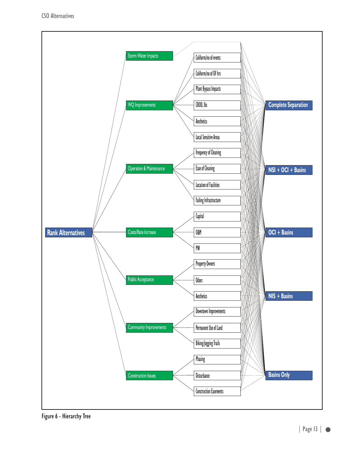

Figure 6 - Hierarchy Tree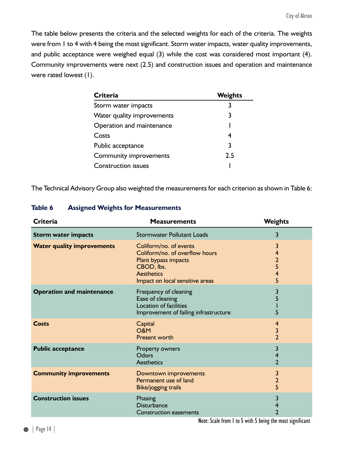The table below presents the criteria and the selected weights for each of the criteria. The weights were from 1 to 4 with 4 being the most significant. Storm water impacts, water quality improvements, and public acceptance were weighed equal (3) while the cost was considered most important (4). Community improvements were next (2.5) and construction issues and operation and maintenance were rated lowest (1).

| <b>Criteria</b>            | <b>Weights</b> |
|----------------------------|----------------|
| Storm water impacts        | 3              |
| Water quality improvements | 3              |
| Operation and maintenance  |                |
| Costs                      | 4              |
| Public acceptance          | 3              |
| Community improvements     | 2.5            |
| <b>Construction issues</b> |                |

The Technical Advisory Group also weighted the measurements for each criterion as shown in Table 6:

| <b>Criteria</b>                   | <b>Measurements</b>                                                                                                                                    | <b>Weights</b>                          |
|-----------------------------------|--------------------------------------------------------------------------------------------------------------------------------------------------------|-----------------------------------------|
| <b>Storm water impacts</b>        | <b>Stormwater Pollutant Loads</b>                                                                                                                      | 3                                       |
| <b>Water quality improvements</b> | Coliform/no. of events<br>Coliform/no. of overflow hours<br>Plant bypass impacts<br>CBOD, lbs.<br><b>Aesthetics</b><br>Impact on local sensitive areas | 3<br>4<br>$\overline{2}$<br>5<br>4<br>5 |
| <b>Operation and maintenance</b>  | Frequency of cleaning<br>Ease of cleaning<br>Location of facilities<br>Improvement of failing infrastructure                                           | 3<br>5                                  |
| Costs                             | Capital<br><b>O&amp;M</b><br><b>Present worth</b>                                                                                                      | 4<br>3<br>$\overline{2}$                |
| <b>Public acceptance</b>          | Property owners<br>Odors<br><b>Aesthetics</b>                                                                                                          | 3<br>4<br>$\overline{2}$                |
| <b>Community improvements</b>     | Downtown improvements<br>Permanent use of land<br><b>Bike/jogging trails</b>                                                                           | 3<br>$\overline{2}$<br>5                |
| <b>Construction issues</b>        | Phasing<br><b>Disturbance</b><br><b>Construction easements</b>                                                                                         | 3<br>4<br>$\overline{2}$                |

#### **Table 6 Assigned Weights for Measurements**

Note: Scale from 1 to 5 with 5 being the most significant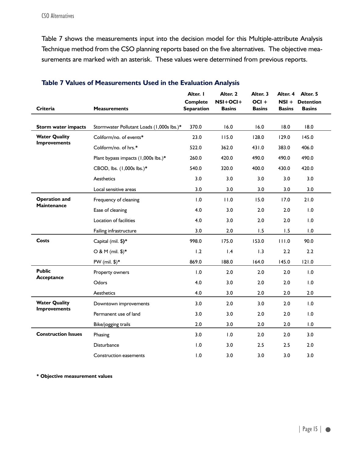Table 7 shows the measurements input into the decision model for this Multiple-attribute Analysis Technique method from the CSO planning reports based on the five alternatives. The objective measurements are marked with an asterisk. These values were determined from previous reports.

| <b>Criteria</b>                             | <b>Measurements</b>                       | Alter. I<br><b>Complete</b><br><b>Separation</b> | Alter. 2<br>$NSI+OCI+$<br><b>Basins</b> | Alter. 3<br>$OCI +$<br><b>Basins</b> | Alter. 4<br>NSI +<br><b>Basins</b> | Alter. 5<br><b>Detention</b><br><b>Basins</b> |
|---------------------------------------------|-------------------------------------------|--------------------------------------------------|-----------------------------------------|--------------------------------------|------------------------------------|-----------------------------------------------|
|                                             |                                           |                                                  |                                         |                                      |                                    |                                               |
| <b>Storm water impacts</b>                  | Stormwater Pollutant Loads (1,000s lbs.)* | 370.0                                            | 16.0                                    | 16.0                                 | 18.0                               | 18.0                                          |
| <b>Water Quality</b><br><b>Improvements</b> | Coliform/no. of events*                   | 23.0                                             | 115.0                                   | 128.0                                | 129.0                              | 145.0                                         |
|                                             | Coliform/no. of hrs.*                     | 522.0                                            | 362.0                                   | 431.0                                | 383.0                              | 406.0                                         |
|                                             | Plant bypass impacts (1,000s lbs.)*       | 260.0                                            | 420.0                                   | 490.0                                | 490.0                              | 490.0                                         |
|                                             | CBOD, lbs. (1,000s lbs.)*                 | 540.0                                            | 320.0                                   | 400.0                                | 430.0                              | 420.0                                         |
|                                             | Aesthetics                                | 3.0                                              | 3.0                                     | 3.0                                  | 3.0                                | 3.0                                           |
|                                             | Local sensitive areas                     | 3.0                                              | 3.0                                     | 3.0                                  | 3.0                                | 3.0                                           |
| <b>Operation and</b><br><b>Maintenance</b>  | Frequency of cleaning                     | 1.0                                              | 11.0                                    | 15.0                                 | 17.0                               | 21.0                                          |
|                                             | Ease of cleaning                          | 4.0                                              | 3.0                                     | 2.0                                  | 2.0                                | 1.0                                           |
|                                             | Location of facilities                    | 4.0                                              | 3.0                                     | 2.0                                  | 2.0                                | 1.0                                           |
|                                             | Failing infrastructure                    | 3.0                                              | 2.0                                     | 1.5                                  | 1.5                                | 1.0                                           |
| <b>Costs</b>                                | Capital (mil. \$)*                        | 998.0                                            | 175.0                                   | 153.0                                | 111.0                              | 90.0                                          |
|                                             | $O & M (mil. $)*$                         | 1.2                                              | $\mathsf{I}$ .4                         | $\overline{1.3}$                     | 2.2                                | 2.2                                           |
|                                             | PW (mil. $\frac{1}{2}$ )*                 | 869.0                                            | 188.0                                   | 164.0                                | 145.0                              | 121.0                                         |
| <b>Public</b><br>Acceptance                 | Property owners                           | 1.0                                              | 2.0                                     | 2.0                                  | 2.0                                | 1.0                                           |
|                                             | Odors                                     | 4.0                                              | 3.0                                     | 2.0                                  | 2.0                                | 1.0                                           |
|                                             | Aesthetics                                | 4.0                                              | 3.0                                     | 2.0                                  | 2.0                                | 2.0                                           |
| <b>Water Quality</b><br><b>Improvements</b> | Downtown improvements                     | 3.0                                              | 2.0                                     | 3.0                                  | 2.0                                | 1.0                                           |
|                                             | Permanent use of land                     | 3.0                                              | 3.0                                     | 2.0                                  | 2.0                                | 1.0                                           |
|                                             | Bike/jogging trails                       | 2.0                                              | 3.0                                     | 2.0                                  | 2.0                                | 1.0                                           |
| <b>Construction Issues</b>                  | Phasing                                   | 3.0                                              | 1.0                                     | 2.0                                  | 2.0                                | 3.0                                           |
|                                             | Disturbance                               | 1.0                                              | 3.0                                     | 2.5                                  | 2.5                                | 2.0                                           |
|                                             | Construction easements                    | 1.0                                              | 3.0                                     | 3.0                                  | 3.0                                | 3.0                                           |

#### **Table 7 Values of Measurements Used in the Evaluation Analysis**

**\* Objective measurement values**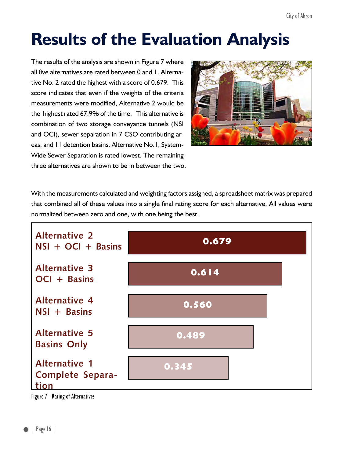## **Results of the Evaluation Analysis**

The results of the analysis are shown in Figure 7 where all five alternatives are rated between 0 and 1. Alternative No. 2 rated the highest with a score of 0.679. This score indicates that even if the weights of the criteria measurements were modified, Alternative 2 would be the highest rated 67.9% of the time. This alternative is combination of two storage conveyance tunnels (NSI and OCI), sewer separation in 7 CSO contributing areas, and 11 detention basins. Alternative No.1, System-Wide Sewer Separation is rated lowest. The remaining three alternatives are shown to be in between the two.



With the measurements calculated and weighting factors assigned, a spreadsheet matrix was prepared that combined all of these values into a single final rating score for each alternative. All values were normalized between zero and one, with one being the best.



Figure 7 - Rating of Alternatives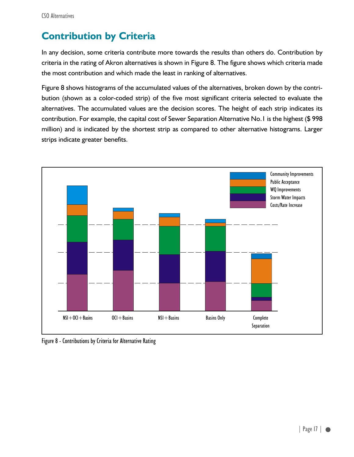### **Contribution by Criteria**

In any decision, some criteria contribute more towards the results than others do. Contribution by criteria in the rating of Akron alternatives is shown in Figure 8. The figure shows which criteria made the most contribution and which made the least in ranking of alternatives.

Figure 8 shows histograms of the accumulated values of the alternatives, broken down by the contribution (shown as a color-coded strip) of the five most significant criteria selected to evaluate the alternatives. The accumulated values are the decision scores. The height of each strip indicates its contribution. For example, the capital cost of Sewer Separation Alternative No.1 is the highest (\$ 998 million) and is indicated by the shortest strip as compared to other alternative histograms. Larger strips indicate greater benefits.



Figure 8 - Contributions by Criteria for Alternative Rating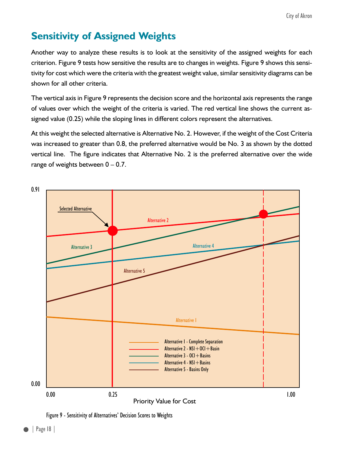### **Sensitivity of Assigned Weights**

Another way to analyze these results is to look at the sensitivity of the assigned weights for each criterion. Figure 9 tests how sensitive the results are to changes in weights. Figure 9 shows this sensitivity for cost which were the criteria with the greatest weight value, similar sensitivity diagrams can be shown for all other criteria.

The vertical axis in Figure 9 represents the decision score and the horizontal axis represents the range of values over which the weight of the criteria is varied. The red vertical line shows the current assigned value (0.25) while the sloping lines in different colors represent the alternatives.

At this weight the selected alternative is Alternative No. 2. However, if the weight of the Cost Criteria was increased to greater than 0.8, the preferred alternative would be No. 3 as shown by the dotted vertical line. The figure indicates that Alternative No. 2 is the preferred alternative over the wide range of weights between 0 – 0.7.



Figure 9 - Sensitivity of Alternatives' Decision Scores to Weights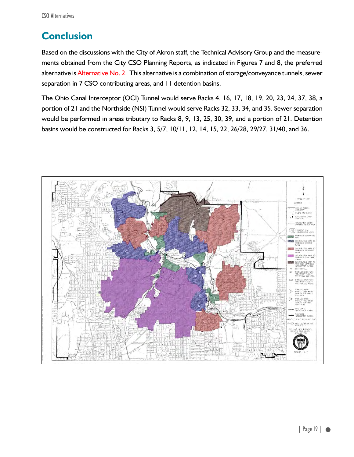### **Conclusion**

Based on the discussions with the City of Akron staff, the Technical Advisory Group and the measurements obtained from the City CSO Planning Reports, as indicated in Figures 7 and 8, the preferred alternative is Alternative No. 2. This alternative is a combination of storage/conveyance tunnels, sewer separation in 7 CSO contributing areas, and 11 detention basins.

The Ohio Canal Interceptor (OCI) Tunnel would serve Racks 4, 16, 17, 18, 19, 20, 23, 24, 37, 38, a portion of 21 and the Northside (NSI) Tunnel would serve Racks 32, 33, 34, and 35. Sewer separation would be performed in areas tributary to Racks 8, 9, 13, 25, 30, 39, and a portion of 21. Detention basins would be constructed for Racks 3, 5/7, 10/11, 12, 14, 15, 22, 26/28, 29/27, 31/40, and 36.